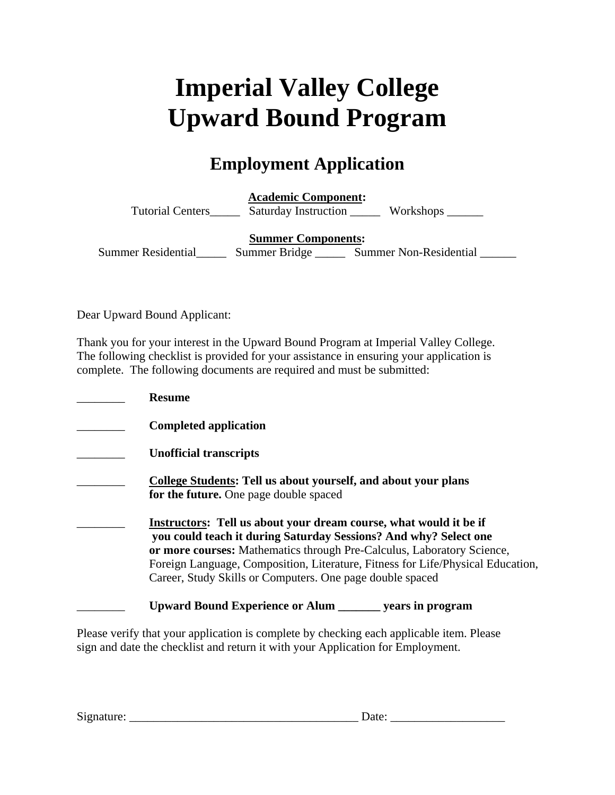## **Imperial Valley College Upward Bound Program**

## **Employment Application**

**Academic Component:**  Tutorial Centers\_\_\_\_\_\_\_ Saturday Instruction \_\_\_\_\_\_\_ Workshops \_\_\_\_\_\_\_

**Summer Components:** 

Summer Residential Summer Bridge Summer Non-Residential

Dear Upward Bound Applicant:

Thank you for your interest in the Upward Bound Program at Imperial Valley College. The following checklist is provided for your assistance in ensuring your application is complete. The following documents are required and must be submitted:

| <b>Resume</b>                                                                                                                                                                                                                                                                                                                                                          |
|------------------------------------------------------------------------------------------------------------------------------------------------------------------------------------------------------------------------------------------------------------------------------------------------------------------------------------------------------------------------|
| <b>Completed application</b>                                                                                                                                                                                                                                                                                                                                           |
| <b>Unofficial transcripts</b>                                                                                                                                                                                                                                                                                                                                          |
| College Students: Tell us about yourself, and about your plans<br>for the future. One page double spaced                                                                                                                                                                                                                                                               |
| <b>Instructors:</b> Tell us about your dream course, what would it be if<br>you could teach it during Saturday Sessions? And why? Select one<br>or more courses: Mathematics through Pre-Calculus, Laboratory Science,<br>Foreign Language, Composition, Literature, Fitness for Life/Physical Education,<br>Career, Study Skills or Computers. One page double spaced |
| <b>Upward Bound Experience or Alum</b> years in program                                                                                                                                                                                                                                                                                                                |

Please verify that your application is complete by checking each applicable item. Please sign and date the checklist and return it with your Application for Employment.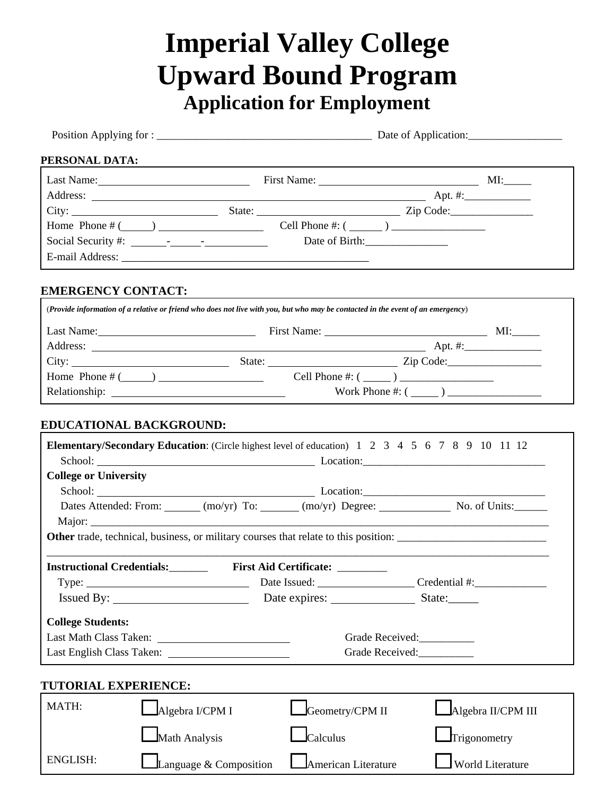## **Imperial Valley College Upward Bound Program Application for Employment**

| PERSONAL DATA:               |                                                   |                                                                                                                                 |                        |  |  |
|------------------------------|---------------------------------------------------|---------------------------------------------------------------------------------------------------------------------------------|------------------------|--|--|
|                              |                                                   |                                                                                                                                 |                        |  |  |
|                              |                                                   |                                                                                                                                 |                        |  |  |
|                              |                                                   |                                                                                                                                 |                        |  |  |
|                              |                                                   | Home Phone $\#$ ( $\qquad$ ) Cell Phone $\#$ : ( $\qquad$ ) $\qquad$                                                            |                        |  |  |
|                              |                                                   |                                                                                                                                 |                        |  |  |
|                              |                                                   |                                                                                                                                 |                        |  |  |
| <b>EMERGENCY CONTACT:</b>    |                                                   |                                                                                                                                 |                        |  |  |
|                              |                                                   | (Provide information of a relative or friend who does not live with you, but who may be contacted in the event of an emergency) |                        |  |  |
|                              |                                                   |                                                                                                                                 |                        |  |  |
|                              |                                                   |                                                                                                                                 |                        |  |  |
|                              |                                                   |                                                                                                                                 |                        |  |  |
|                              |                                                   | Home Phone $\#$ ( $\qquad$ ) $\qquad$ Cell Phone $\#$ : ( $\qquad$ ) $\qquad$                                                   |                        |  |  |
|                              |                                                   |                                                                                                                                 | Work Phone #: $(\_\_)$ |  |  |
| <b>College or University</b> |                                                   |                                                                                                                                 |                        |  |  |
|                              |                                                   |                                                                                                                                 |                        |  |  |
|                              |                                                   | Dates Attended: From: (mo/yr) To: (mo/yr) Degree: No. of Units:                                                                 |                        |  |  |
|                              |                                                   | Other trade, technical, business, or military courses that relate to this position:                                             |                        |  |  |
|                              |                                                   | Instructional Credentials: First Aid Certificate: ________                                                                      |                        |  |  |
| Type:                        | <u> 1989 - Johann Barbara, martin amerikan ba</u> |                                                                                                                                 | Credential #:          |  |  |
|                              | Issued By:                                        |                                                                                                                                 | State:                 |  |  |
| <b>College Students:</b>     |                                                   |                                                                                                                                 |                        |  |  |
|                              |                                                   |                                                                                                                                 | Grade Received:        |  |  |
|                              |                                                   |                                                                                                                                 | Grade Received:        |  |  |
| TUTORIAL EXPERIENCE:         |                                                   |                                                                                                                                 |                        |  |  |
| MATH:                        | Algebra I/CPM I                                   | Geometry/CPM II                                                                                                                 | Algebra II/CPM III     |  |  |
|                              | Math Analysis                                     | Calculus                                                                                                                        | Trigonometry           |  |  |
| <b>ENGLISH:</b>              | Language & Composition                            | American Literature                                                                                                             | World Literature       |  |  |